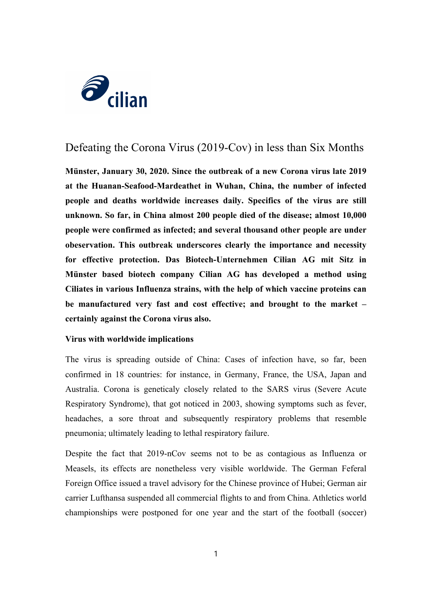

## Defeating the Corona Virus (2019-Cov) in less than Six Months

**Münster, January 30, 2020. Since the outbreak of a new Corona virus late 2019 at the Huanan-Seafood-Mardeathet in Wuhan, China, the number of infected people and deaths worldwide increases daily. Specifics of the virus are still unknown. So far, in China almost 200 people died of the disease; almost 10,000 people were confirmed as infected; and several thousand other people are under obeservation. This outbreak underscores clearly the importance and necessity for effective protection. Das Biotech-Unternehmen Cilian AG mit Sitz in Münster based biotech company Cilian AG has developed a method using Ciliates in various Influenza strains, with the help of which vaccine proteins can be manufactured very fast and cost effective; and brought to the market – certainly against the Corona virus also.**

## **Virus with worldwide implications**

The virus is spreading outside of China: Cases of infection have, so far, been confirmed in 18 countries: for instance, in Germany, France, the USA, Japan and Australia. Corona is geneticaly closely related to the SARS virus (Severe Acute Respiratory Syndrome), that got noticed in 2003, showing symptoms such as fever, headaches, a sore throat and subsequently respiratory problems that resemble pneumonia; ultimately leading to lethal respiratory failure.

Despite the fact that 2019-nCov seems not to be as contagious as Influenza or Measels, its effects are nonetheless very visible worldwide. The German Feferal Foreign Office issued a travel advisory for the Chinese province of Hubei; German air carrier Lufthansa suspended all commercial flights to and from China. Athletics world championships were postponed for one year and the start of the football (soccer)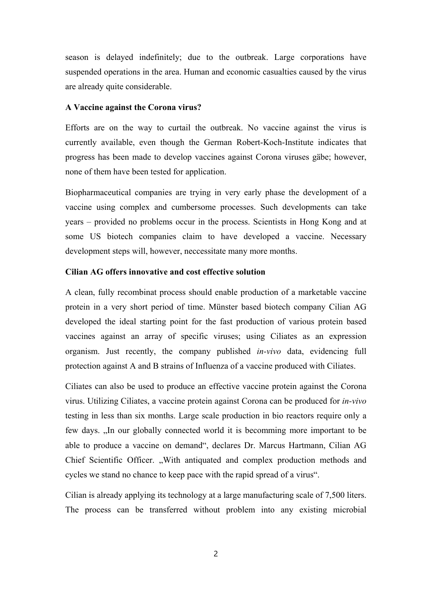season is delayed indefinitely; due to the outbreak. Large corporations have suspended operations in the area. Human and economic casualties caused by the virus are already quite considerable.

## **A Vaccine against the Corona virus?**

Efforts are on the way to curtail the outbreak. No vaccine against the virus is currently available, even though the German Robert-Koch-Institute indicates that progress has been made to develop vaccines against Corona viruses gäbe; however, none of them have been tested for application.

Biopharmaceutical companies are trying in very early phase the development of a vaccine using complex and cumbersome processes. Such developments can take years – provided no problems occur in the process. Scientists in Hong Kong and at some US biotech companies claim to have developed a vaccine. Necessary development steps will, however, neccessitate many more months.

## **Cilian AG offers innovative and cost effective solution**

A clean, fully recombinat process should enable production of a marketable vaccine protein in a very short period of time. Münster based biotech company Cilian AG developed the ideal starting point for the fast production of various protein based vaccines against an array of specific viruses; using Ciliates as an expression organism. Just recently, the company published *in-vivo* data, evidencing full protection against A and B strains of Influenza of a vaccine produced with Ciliates.

Ciliates can also be used to produce an effective vaccine protein against the Corona virus. Utilizing Ciliates, a vaccine protein against Corona can be produced for *in-vivo* testing in less than six months. Large scale production in bio reactors require only a few days. "In our globally connected world it is becomming more important to be able to produce a vaccine on demand", declares Dr. Marcus Hartmann, Cilian AG Chief Scientific Officer. "With antiquated and complex production methods and cycles we stand no chance to keep pace with the rapid spread of a virus".

Cilian is already applying its technology at a large manufacturing scale of 7,500 liters. The process can be transferred without problem into any existing microbial